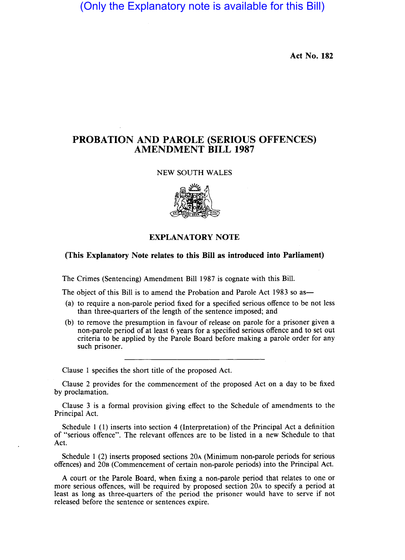(Only the Explanatory note is available for this Bill)

**Act No. 182** 

## **PROBATION AND PAROLE (SERIOUS OFFENCES) AMENDMENT BILL 1987**

## NEW SOUTH WALES



## **EXPLANATORY NOTE**

## **(This Explanatory Note relates to this Bill as introduced into Parliament)**

The Crimes (Sentencing) Amendment Bill 1987 is cognate with this Bill.

The object of this Bill is to amend the Probation and Parole Act 1983 so as-

- (a) to require a non-parole period fixed for a specified serious offence to be not less than three-quarters of the length of the sentence imposed; and
- (b) to remove the presumption in favour of release on parole for a prisoner given a non-parole period of at least 6 years for a specified serious offence and to set out criteria to be applied by the Parole Board before making a parole order for any such prisoner.

Clause 1 specifies the short title of the proposed Act.

Clause 2 provides for the commencement of the proposed Act on a day to be fixed by proclamation.

Clause 3 is a formal provision giving effect to the Schedule of amendments to the Principal Act.

Schedule 1 (1) inserts into section 4 (Interpretation) of the Principal Act a definition of "serious offence". The relevant offences are to be listed in a new Schedule to that Act.

Schedule 1 (2) inserts proposed sections 20A (Minimum non-parole periods for serious offences) and 20B (Commencement of certain non-parole periods) into the Principal Act.

A court or the Parole Board, when fixing a non-parole period that relates to one or more serious offences, will be required by proposed section 20A to specify a period at least as long as three-quarters of the period the prisoner would have to serve if not released before the sentence or sentences expire.